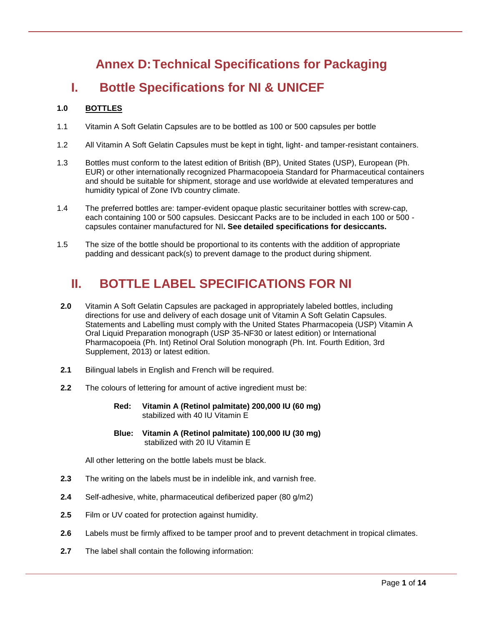# **Annex D:Technical Specifications for Packaging**

# **I. Bottle Specifications for NI & UNICEF**

# **1.0 BOTTLES**

- 1.1 Vitamin A Soft Gelatin Capsules are to be bottled as 100 or 500 capsules per bottle
- 1.2 All Vitamin A Soft Gelatin Capsules must be kept in tight, light- and tamper-resistant containers.
- 1.3 Bottles must conform to the latest edition of British (BP), United States (USP), European (Ph. EUR) or other internationally recognized Pharmacopoeia Standard for Pharmaceutical containers and should be suitable for shipment, storage and use worldwide at elevated temperatures and humidity typical of Zone IVb country climate.
- 1.4 The preferred bottles are: tamper-evident opaque plastic securitainer bottles with screw-cap, each containing 100 or 500 capsules. Desiccant Packs are to be included in each 100 or 500 capsules container manufactured for NI**. See detailed specifications for desiccants.**
- 1.5 The size of the bottle should be proportional to its contents with the addition of appropriate padding and dessicant pack(s) to prevent damage to the product during shipment.

# **II. BOTTLE LABEL SPECIFICATIONS FOR NI**

- **2.0** Vitamin A Soft Gelatin Capsules are packaged in appropriately labeled bottles, including directions for use and delivery of each dosage unit of Vitamin A Soft Gelatin Capsules. Statements and Labelling must comply with the United States Pharmacopeia (USP) Vitamin A Oral Liquid Preparation monograph (USP 35-NF30 or latest edition) or International Pharmacopoeia (Ph. Int) Retinol Oral Solution monograph (Ph. Int. Fourth Edition, 3rd Supplement, 2013) or latest edition.
- **2.1** Bilingual labels in English and French will be required.
- **2.2** The colours of lettering for amount of active ingredient must be:
	- **Red: Vitamin A (Retinol palmitate) 200,000 IU (60 mg)** stabilized with 40 IU Vitamin E
	- **Blue: Vitamin A (Retinol palmitate) 100,000 IU (30 mg)** stabilized with 20 IU Vitamin E

All other lettering on the bottle labels must be black.

- **2.3** The writing on the labels must be in indelible ink, and varnish free.
- **2.4** Self-adhesive, white, pharmaceutical defiberized paper (80 g/m2)
- **2.5** Film or UV coated for protection against humidity.
- **2.6** Labels must be firmly affixed to be tamper proof and to prevent detachment in tropical climates.
- **2.7** The label shall contain the following information: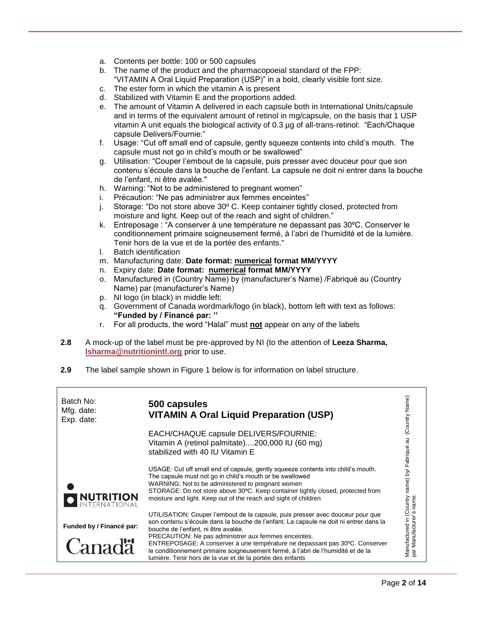- a. Contents per bottle: 100 or 500 capsules
- b. The name of the product and the pharmacopoeial standard of the FPP: "VITAMIN A Oral Liquid Preparation (USP)" in a bold, clearly visible font size.
- c. The ester form in which the vitamin A is present
- d. Stabilized with Vitamin E and the proportions added.
- e. The amount of Vitamin A delivered in each capsule both in International Units/capsule and in terms of the equivalent amount of retinol in mg/capsule, on the basis that 1 USP vitamin A unit equals the biological activity of 0.3 µg of all-trans-retinol: "Each/Chaque capsule Delivers/Fournie:"
- f. Usage: "Cut off small end of capsule, gently squeeze contents into child's mouth. The capsule must not go in child's mouth or be swallowed"
- g. Utilisation: "Couper l'embout de la capsule, puis presser avec douceur pour que son contenu s'écoule dans la bouche de l'enfant. La capsule ne doit ni entrer dans la bouche de l'enfant, ni être avalée."
- h. Warning: "Not to be administered to pregnant women"
- i. Précaution: "Ne pas administrer aux femmes enceintes"
- j. Storage: "Do not store above 30º C. Keep container tightly closed, protected from moisture and light. Keep out of the reach and sight of children."
- k. Entreposage : "A conserver à une température ne depassant pas 30ºC. Conserver le conditionnement primaire soigneusement fermé, à l'abri de l'humidité et de la lumière. Tenir hors de la vue et de la portée des enfants."
- l. Batch identification
- m. Manufacturing date: **Date format: numerical format MM/YYYY**
- n. Expiry date: **Date format: numerical format MM/YYYY**
- o. Manufactured in (Country Name) by (manufacturer's Name) /Fabriqué au (Country Name) par (manufacturer's Name)
- p. NI logo (in black) in middle left:
- q. Government of Canada wordmark/logo (in black), bottom left with text as follows: **"Funded by / Financé par: ''**
- r. For all products, the word "Halal" must **not** appear on any of the labels
- **2.8** A mock-up of the label must be pre-approved by NI (to the attention of **Leeza Sharma, [lsharma@nutritionintl.org](mailto:lsharma@nutritionintl.org)** prior to use.
- **2.9** The label sample shown in Figure 1 below is for information on label structure.

| Batch No:<br>Mfg. date:<br>Exp. date:     | 500 capsules<br><b>VITAMIN A Oral Liquid Preparation (USP)</b>                                                                                                                                                                                                                                                                                                                                                                                                                                         | (Country Name                           |
|-------------------------------------------|--------------------------------------------------------------------------------------------------------------------------------------------------------------------------------------------------------------------------------------------------------------------------------------------------------------------------------------------------------------------------------------------------------------------------------------------------------------------------------------------------------|-----------------------------------------|
|                                           | EACH/CHAQUE capsule DELIVERS/FOURNIE:<br>Vitamin A (retinol palmitate)200,000 IU (60 mg)<br>stabilized with 40 IU Vitamin E                                                                                                                                                                                                                                                                                                                                                                            | au                                      |
| I NUTRITION                               | USAGE: Cut off small end of capsule, gently squeeze contents into child's mouth.<br>The capsule must not go in child's mouth or be swallowed<br>WARNING: Not to be administered to pregnant women<br>STORAGE: Do not store above 30°C. Keep container tightly closed, protected from<br>moisture and light. Keep out of the reach and sight of children                                                                                                                                                | ountry name) by/ Fabriqué<br>r's name:  |
| Funded by / Financé par:<br><b>Canadä</b> | UTILISATION: Couper l'embout de la capsule, puis presser avec douceur pour que<br>son contenu s'écoule dans la bouche de l'enfant. La capsule ne doit ni entrer dans la<br>bouche de l'enfant, ni être avalée.<br>PRECAUTION: Ne pas administrer aux femmes enceintes.<br>ENTREPOSAGE: A conserver à une température ne depassant pas 30°C. Conserver<br>le conditionnement primaire soigneusement fermé, à l'abri de l'humidité et de la<br>lumière. Tenir hors de la vue et de la portée des enfants | ల<br>par Manufacture<br>Manufactured in |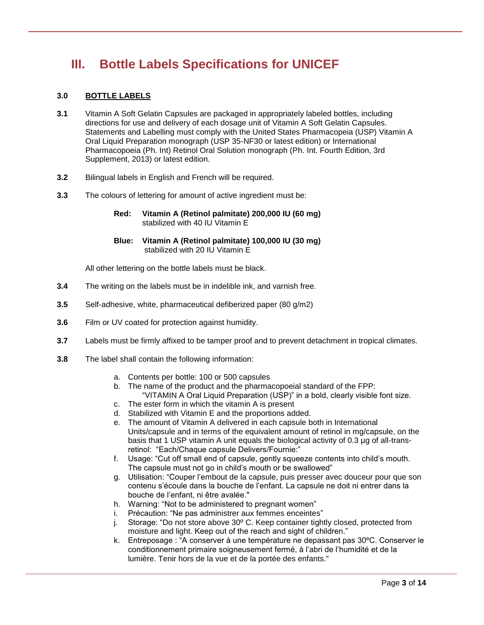# **III. Bottle Labels Specifications for UNICEF**

# **3.0 BOTTLE LABELS**

- **3.1** Vitamin A Soft Gelatin Capsules are packaged in appropriately labeled bottles, including directions for use and delivery of each dosage unit of Vitamin A Soft Gelatin Capsules. Statements and Labelling must comply with the United States Pharmacopeia (USP) Vitamin A Oral Liquid Preparation monograph (USP 35-NF30 or latest edition) or International Pharmacopoeia (Ph. Int) Retinol Oral Solution monograph (Ph. Int. Fourth Edition, 3rd Supplement, 2013) or latest edition.
- **3.2** Bilingual labels in English and French will be required.
- **3.3** The colours of lettering for amount of active ingredient must be:
	- **Red: Vitamin A (Retinol palmitate) 200,000 IU (60 mg)** stabilized with 40 IU Vitamin E
	- **Blue: Vitamin A (Retinol palmitate) 100,000 IU (30 mg)** stabilized with 20 IU Vitamin E

All other lettering on the bottle labels must be black.

- **3.4** The writing on the labels must be in indelible ink, and varnish free.
- **3.5** Self-adhesive, white, pharmaceutical defiberized paper (80 g/m2)
- **3.6** Film or UV coated for protection against humidity.
- **3.7** Labels must be firmly affixed to be tamper proof and to prevent detachment in tropical climates.
- **3.8** The label shall contain the following information:
	- a. Contents per bottle: 100 or 500 capsules
	- b. The name of the product and the pharmacopoeial standard of the FPP: "VITAMIN A Oral Liquid Preparation (USP)" in a bold, clearly visible font size.
	- c. The ester form in which the vitamin A is present
	- d. Stabilized with Vitamin E and the proportions added.
	- e. The amount of Vitamin A delivered in each capsule both in International Units/capsule and in terms of the equivalent amount of retinol in mg/capsule, on the basis that 1 USP vitamin A unit equals the biological activity of 0.3 µg of all-transretinol: "Each/Chaque capsule Delivers/Fournie:"
	- f. Usage: "Cut off small end of capsule, gently squeeze contents into child's mouth. The capsule must not go in child's mouth or be swallowed"
	- g. Utilisation: "Couper l'embout de la capsule, puis presser avec douceur pour que son contenu s'écoule dans la bouche de l'enfant. La capsule ne doit ni entrer dans la bouche de l'enfant, ni être avalée."
	- h. Warning: "Not to be administered to pregnant women"
	- i. Précaution: "Ne pas administrer aux femmes enceintes"
	- j. Storage: "Do not store above 30º C. Keep container tightly closed, protected from moisture and light. Keep out of the reach and sight of children."
	- k. Entreposage : "A conserver à une température ne depassant pas 30ºC. Conserver le conditionnement primaire soigneusement fermé, à l'abri de l'humidité et de la lumière. Tenir hors de la vue et de la portée des enfants."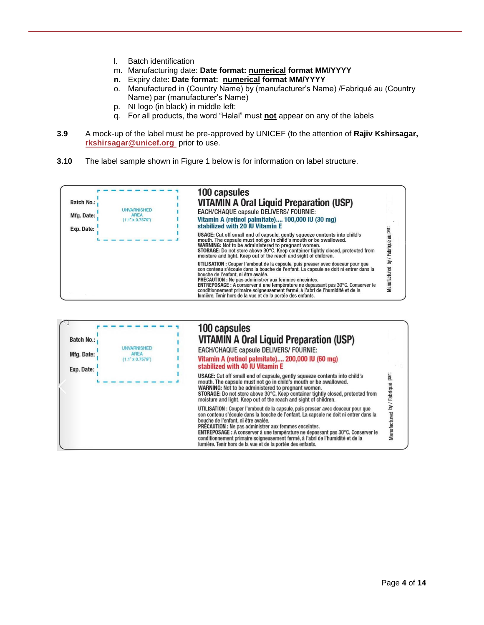- l. Batch identification
- m. Manufacturing date: **Date format: numerical format MM/YYYY**
- **n.** Expiry date: **Date format: numerical format MM/YYYY**
- o. Manufactured in (Country Name) by (manufacturer's Name) /Fabriqué au (Country Name) par (manufacturer's Name)
- p. NI logo (in black) in middle left:
- q. For all products, the word "Halal" must **not** appear on any of the labels
- **3.9** A mock-up of the label must be pre-approved by UNICEF (to the attention of **Rajiv Kshirsagar, [rkshirsagar@unicef.org](mailto:rkshirsagar@unicef.org)** prior to use.
- **3.10** The label sample shown in Figure 1 below is for information on label structure.

|                   |                                                              | 100 capsules                                                                                                                                                                                                                                                                                                                                                                                                                                                                                                      |                        |
|-------------------|--------------------------------------------------------------|-------------------------------------------------------------------------------------------------------------------------------------------------------------------------------------------------------------------------------------------------------------------------------------------------------------------------------------------------------------------------------------------------------------------------------------------------------------------------------------------------------------------|------------------------|
| <b>Batch No.:</b> |                                                              | <b>VITAMIN A Oral Liquid Preparation (USP)</b>                                                                                                                                                                                                                                                                                                                                                                                                                                                                    |                        |
| Mfg. Date:        | <b>UNVARNISHED</b><br><b>AREA</b><br>$(1.1" \times 0.7579")$ | EACH/CHAQUE capsule DELIVERS/ FOURNIE:<br>Vitamin A (retinol palmitate) 100,000 IU (30 mg)<br>stabilized with 20 IU Vitamin E                                                                                                                                                                                                                                                                                                                                                                                     |                        |
| Exp. Date:        |                                                              | USAGE: Cut off small end of capsule, gently squeeze contents into child's<br>mouth. The capsule must not go in child's mouth or be swallowed.<br>WARNING: Not to be administered to pregnant women.<br>STORAGE: Do not store above 30°C. Keep container tightly closed, protected from<br>moisture and light. Keep out of the reach and sight of children.                                                                                                                                                        | Fabriqué au par:       |
|                   |                                                              | UTILISATION : Couper l'embout de la capsule, puis presser avec douceur pour que<br>son contenu s'écoule dans la bouche de l'enfant. La capsule ne doit ni entrer dans la<br>bouche de l'enfant, ni être avalée.<br><b>PRÉCAUTION : Ne pas administrer aux femmes enceintes.</b><br>ENTREPOSAGE : A conserver à une température ne depassant pas 30°C. Conserver le<br>conditionnement primaire soigneusement fermé, à l'abri de l'humidité et de la<br>lumière. Tenir hors de la vue et de la portée des enfants. | $\geq$<br>Manufactured |

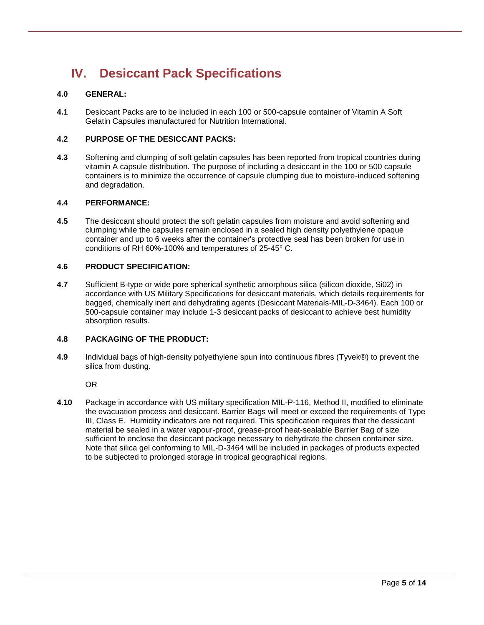# **IV. Desiccant Pack Specifications**

# **4.0 GENERAL:**

**4.1** Desiccant Packs are to be included in each 100 or 500-capsule container of Vitamin A Soft Gelatin Capsules manufactured for Nutrition International.

# **4.2 PURPOSE OF THE DESICCANT PACKS:**

**4.3** Softening and clumping of soft gelatin capsules has been reported from tropical countries during vitamin A capsule distribution. The purpose of including a desiccant in the 100 or 500 capsule containers is to minimize the occurrence of capsule clumping due to moisture-induced softening and degradation.

## **4.4 PERFORMANCE:**

**4.5** The desiccant should protect the soft gelatin capsules from moisture and avoid softening and clumping while the capsules remain enclosed in a sealed high density polyethylene opaque container and up to 6 weeks after the container's protective seal has been broken for use in conditions of RH 60%-100% and temperatures of 25-45° C.

#### **4.6 PRODUCT SPECIFICATION:**

**4.7** Sufficient B-type or wide pore spherical synthetic amorphous silica (silicon dioxide, Si02) in accordance with US Military Specifications for desiccant materials, which details requirements for bagged, chemically inert and dehydrating agents (Desiccant Materials-MIL-D-3464). Each 100 or 500-capsule container may include 1-3 desiccant packs of desiccant to achieve best humidity absorption results.

## **4.8 PACKAGING OF THE PRODUCT:**

**4.9** Individual bags of high-density polyethylene spun into continuous fibres (Tyvek®) to prevent the silica from dusting.

OR

**4.10** Package in accordance with US military specification MIL-P-116, Method II, modified to eliminate the evacuation process and desiccant. Barrier Bags will meet or exceed the requirements of Type III, Class E. Humidity indicators are not required. This specification requires that the dessicant material be sealed in a water vapour-proof, grease-proof heat-sealable Barrier Bag of size sufficient to enclose the desiccant package necessary to dehydrate the chosen container size. Note that silica gel conforming to MIL-D-3464 will be included in packages of products expected to be subjected to prolonged storage in tropical geographical regions.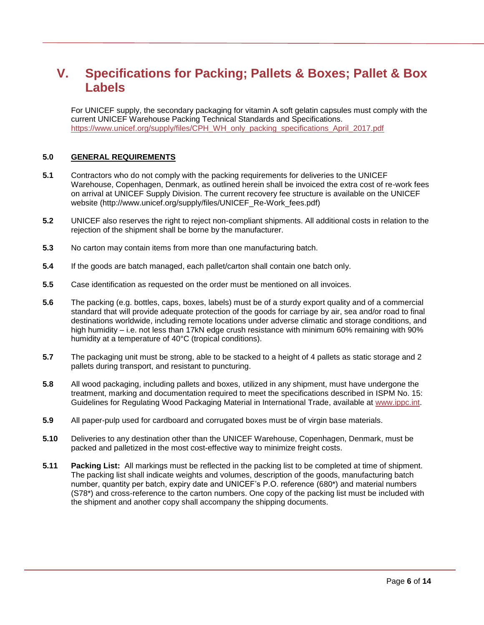# **V. Specifications for Packing; Pallets & Boxes; Pallet & Box Labels**

For UNICEF supply, the secondary packaging for vitamin A soft gelatin capsules must comply with the current UNICEF Warehouse Packing Technical Standards and Specifications. [https://www.unicef.org/supply/files/CPH\\_WH\\_only\\_packing\\_specifications\\_April\\_2017.pdf](https://www.unicef.org/supply/files/CPH_WH_only_packing_specifications_April_2017.pdf)

## **5.0 GENERAL REQUIREMENTS**

- **5.1** Contractors who do not comply with the packing requirements for deliveries to the UNICEF Warehouse, Copenhagen, Denmark, as outlined herein shall be invoiced the extra cost of re-work fees on arrival at UNICEF Supply Division. The current recovery fee structure is available on the UNICEF website [\(http://www.unicef.org/supply/files/UNICEF\\_Re-Work\\_fees.pdf\)](http://www.unicef.org/supply/files/UNICEF_Re-Work_fees.pdf)
- **5.2** UNICEF also reserves the right to reject non-compliant shipments. All additional costs in relation to the rejection of the shipment shall be borne by the manufacturer.
- **5.3** No carton may contain items from more than one manufacturing batch.
- **5.4** If the goods are batch managed, each pallet/carton shall contain one batch only.
- **5.5** Case identification as requested on the order must be mentioned on all invoices.
- **5.6** The packing (e.g. bottles, caps, boxes, labels) must be of a sturdy export quality and of a commercial standard that will provide adequate protection of the goods for carriage by air, sea and/or road to final destinations worldwide, including remote locations under adverse climatic and storage conditions, and high humidity – i.e. not less than 17kN edge crush resistance with minimum 60% remaining with 90% humidity at a temperature of 40°C (tropical conditions).
- **5.7** The packaging unit must be strong, able to be stacked to a height of 4 pallets as static storage and 2 pallets during transport, and resistant to puncturing.
- **5.8** All wood packaging, including pallets and boxes, utilized in any shipment, must have undergone the treatment, marking and documentation required to meet the specifications described in [ISPM No. 15:](https://www.ippc.int/servlet/CDSServlet?status=ND0xMzM5OS4xMzM3MDMmNj1lbiYzMz1wdWJsaWNhdGlvbnMmc2hvd0NoaWxkcmVuPXRydWUmMzc9aW5mbw~~#koinfo)  [Guidelines for Regulating Wood Packaging Material in International Trade,](https://www.ippc.int/servlet/CDSServlet?status=ND0xMzM5OS4xMzM3MDMmNj1lbiYzMz1wdWJsaWNhdGlvbnMmc2hvd0NoaWxkcmVuPXRydWUmMzc9aW5mbw~~#koinfo) available at [www.ippc.int.](http://www.ippc.int/)
- **5.9** All paper-pulp used for cardboard and corrugated boxes must be of virgin base materials.
- **5.10** Deliveries to any destination other than the UNICEF Warehouse, Copenhagen, Denmark, must be packed and palletized in the most cost-effective way to minimize freight costs.
- **5.11 Packing List:** All markings must be reflected in the packing list to be completed at time of shipment. The packing list shall indicate weights and volumes, description of the goods, manufacturing batch number, quantity per batch, expiry date and UNICEF's P.O. reference (680\*) and material numbers (S78\*) and cross-reference to the carton numbers. One copy of the packing list must be included with the shipment and another copy shall accompany the shipping documents.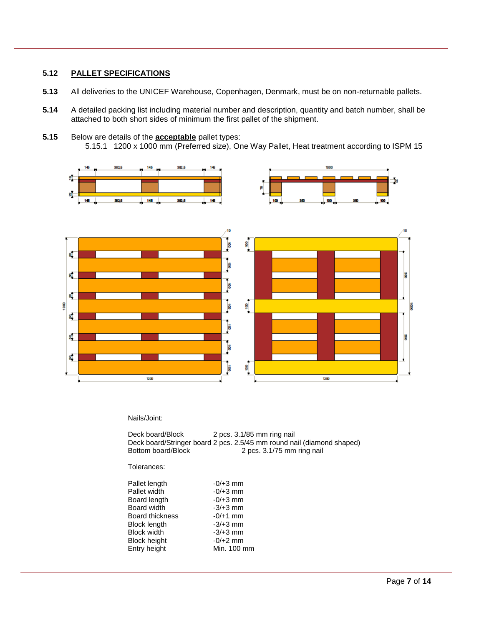# **5.12 PALLET SPECIFICATIONS**

- **5.13** All deliveries to the UNICEF Warehouse, Copenhagen, Denmark, must be on non-returnable pallets.
- **5.14** A detailed packing list including material number and description, quantity and batch number, shall be attached to both short sides of minimum the first pallet of the shipment.
- **5.15** Below are details of the **acceptable** pallet types: 5.15.1 1200 x 1000 mm (Preferred size), One Way Pallet, Heat treatment according to ISPM 15



#### Nails/Joint:

| Deck board/Block   | 2 pcs. 3.1/85 mm ring nail                                             |
|--------------------|------------------------------------------------------------------------|
|                    | Deck board/Stringer board 2 pcs. 2.5/45 mm round nail (diamond shaped) |
| Bottom board/Block | 2 pcs. 3.1/75 mm ring nail                                             |

#### Tolerances:

| Pallet length      | $-0/+3$ mm  |
|--------------------|-------------|
| Pallet width       | $-0/+3$ mm  |
| Board length       | $-0/+3$ mm  |
| <b>Board width</b> | $-3/+3$ mm  |
| Board thickness    | $-0/+1$ mm  |
| Block length       | $-3/+3$ mm  |
| <b>Block width</b> | $-3/+3$ mm  |
| Block height       | $-0/+2$ mm  |
| Entry height       | Min. 100 mm |
|                    |             |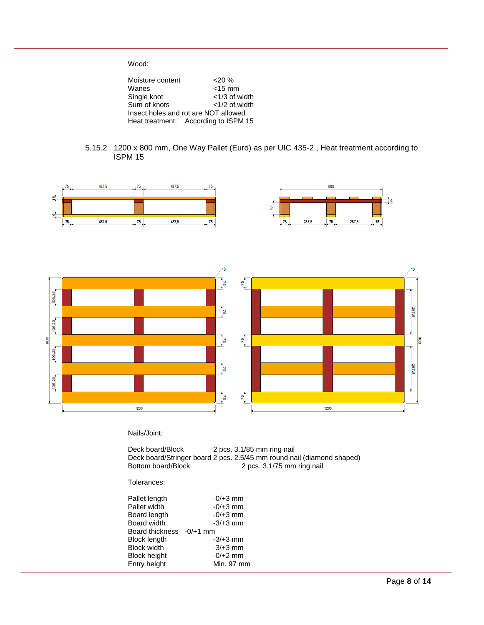Wood:

| Moisture content | $20\%$                               |
|------------------|--------------------------------------|
| Wanes            | $<$ 15 mm                            |
| Single knot      | $<$ 1/3 of width                     |
| Sum of knots     | $<$ 1/2 of width                     |
|                  | Insect holes and rot are NOT allowed |
|                  | Heat treatment: According to ISPM 15 |

5.15.2 1200 x 800 mm, One Way Pallet (Euro) as per UIC 435-2 , Heat treatment according to ISPM 15



#### Nails/Joint:

Deck board/Block 2 pcs. 3.1/85 mm ring nail Deck board/Stringer board 2 pcs. 2.5/45 mm round nail (diamond shaped) Bottom board/Block 2 pcs. 3.1/75 mm ring nail

#### Tolerances:

| Pallet length            | $-0/+3$ mm |
|--------------------------|------------|
| Pallet width             | $-0/+3$ mm |
| Board length             | $-0/+3$ mm |
| Board width              | $-3/+3$ mm |
| Board thickness -0/+1 mm |            |
| Block length             | $-3/+3$ mm |
| <b>Block width</b>       | $-3/+3$ mm |
| <b>Block height</b>      | $-0/+2$ mm |
| Entry height             | Min. 97 mm |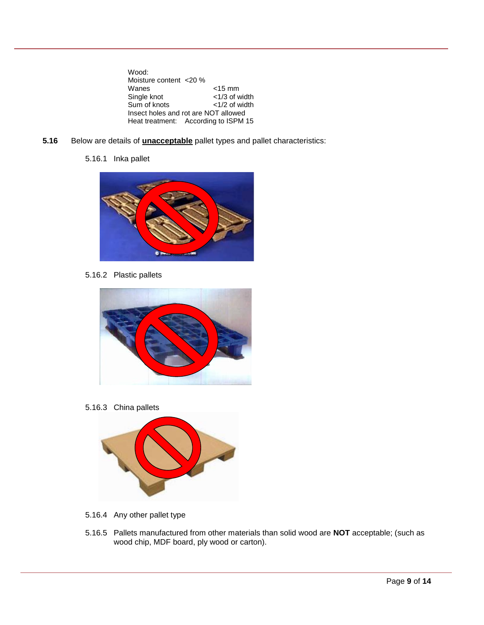Wood: Moisture content <20 %<br>Wanes Wanes <15 mm<br>Single knot <1/3 of w  $<$  1/3 of width  $<$  1/2 of width Sum of knots Insect holes and rot are NOT allowed Heat treatment: According to ISPM 15

- **5.16** Below are details of **unacceptable** pallet types and pallet characteristics:
	- 5.16.1 Inka pallet



5.16.2 Plastic pallets



5.16.3 China pallets



- 5.16.4 Any other pallet type
- 5.16.5 Pallets manufactured from other materials than solid wood are **NOT** acceptable; (such as wood chip, MDF board, ply wood or carton).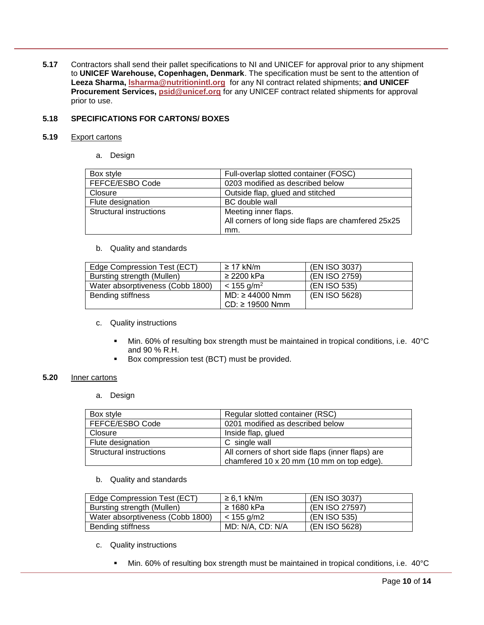**5.17** Contractors shall send their pallet specifications to NI and UNICEF for approval prior to any shipment to **UNICEF Warehouse, Copenhagen, Denmark**. The specification must be sent to the attention of **Leeza Sharma, [lsharma@nutritionintl.org](mailto:lsharma@nutritionintl.org)** for any NI contract related shipments; **and UNICEF Procurement Services, [psid@unicef.org](mailto:psid@unicef.org)** for any UNICEF contract related shipments for approval prior to use.

### **5.18 SPECIFICATIONS FOR CARTONS/ BOXES**

#### **5.19** Export cartons

a. Design

| Box style               | Full-overlap slotted container (FOSC)              |
|-------------------------|----------------------------------------------------|
| FEFCE/ESBO Code         | 0203 modified as described below                   |
| Closure                 | Outside flap, glued and stitched                   |
| Flute designation       | <b>BC</b> double wall                              |
| Structural instructions | Meeting inner flaps.                               |
|                         | All corners of long side flaps are chamfered 25x25 |
|                         | mm.                                                |

b. Quality and standards

| Edge Compression Test (ECT)      | $\geq$ 17 kN/m           | (EN ISO 3037) |
|----------------------------------|--------------------------|---------------|
| Bursting strength (Mullen)       | $\geq$ 2200 kPa          | (EN ISO 2759) |
| Water absorptiveness (Cobb 1800) | $< 155$ g/m <sup>2</sup> | (EN ISO 535)  |
| Bending stiffness                | $MD: \geq 44000$ Nmm     | (EN ISO 5628) |
|                                  | $CD: \geq 19500$ Nmm     |               |

#### c. Quality instructions

- Min. 60% of resulting box strength must be maintained in tropical conditions, i.e. 40°C and 90 % R.H.
- Box compression test (BCT) must be provided.

#### **5.20** Inner cartons

a. Design

| Box style                      | Regular slotted container (RSC)                   |
|--------------------------------|---------------------------------------------------|
| FEFCE/ESBO Code                | 0201 modified as described below                  |
| Closure                        | Inside flap, glued                                |
| Flute designation              | C single wall                                     |
| <b>Structural instructions</b> | All corners of short side flaps (inner flaps) are |
|                                | chamfered 10 x 20 mm (10 mm on top edge).         |

b. Quality and standards

| Edge Compression Test (ECT)      | $\geq 6.1$ kN/m    | (EN ISO 3037)  |
|----------------------------------|--------------------|----------------|
| Bursting strength (Mullen)       | ≥ 1680 kPa         | (EN ISO 27597) |
| Water absorptiveness (Cobb 1800) | $\approx$ 155 g/m2 | (EN ISO 535)   |
| Bending stiffness                | MD: N/A, CD: N/A   | (EN ISO 5628)  |

- c. Quality instructions
	- Min. 60% of resulting box strength must be maintained in tropical conditions, i.e. 40°C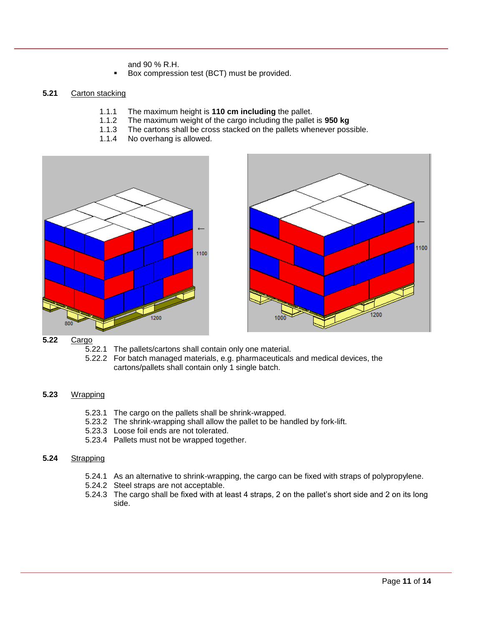and 90 % R.H.

Box compression test (BCT) must be provided.

## **5.21** Carton stacking

- 1.1.1 The maximum height is **110 cm including** the pallet.
- 1.1.2 The maximum weight of the cargo including the pallet is **950 kg**
- 1.1.3 The cartons shall be cross stacked on the pallets whenever possible.<br>1.1.4 No overhang is allowed.
- No overhang is allowed.





### **5.22** Cargo

- 5.22.1 The pallets/cartons shall contain only one material.
- 5.22.2 For batch managed materials, e.g. pharmaceuticals and medical devices, the cartons/pallets shall contain only 1 single batch.

#### **5.23** Wrapping

- 5.23.1 The cargo on the pallets shall be shrink-wrapped.
- 5.23.2 The shrink-wrapping shall allow the pallet to be handled by fork-lift.
- 5.23.3 Loose foil ends are not tolerated.
- 5.23.4 Pallets must not be wrapped together.

#### **5.24** Strapping

- 5.24.1 As an alternative to shrink-wrapping, the cargo can be fixed with straps of polypropylene.
- 5.24.2 Steel straps are not acceptable.
- 5.24.3 The cargo shall be fixed with at least 4 straps, 2 on the pallet's short side and 2 on its long side.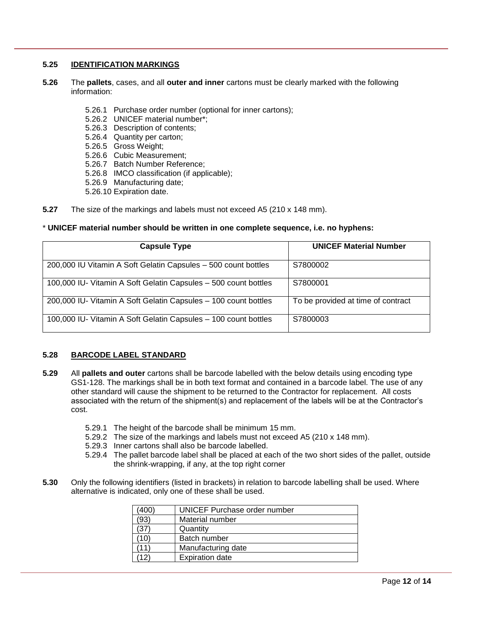## **5.25 IDENTIFICATION MARKINGS**

- **5.26** The **pallets**, cases, and all **outer and inner** cartons must be clearly marked with the following information:
	- 5.26.1 Purchase order number (optional for inner cartons);
	- 5.26.2 UNICEF material number\*;
	- 5.26.3 Description of contents;
	- 5.26.4 Quantity per carton;
	- 5.26.5 Gross Weight;
	- 5.26.6 Cubic Measurement;
	- 5.26.7 Batch Number Reference;
	- 5.26.8 IMCO classification (if applicable);
	- 5.26.9 Manufacturing date;
	- 5.26.10 Expiration date.
- **5.27** The size of the markings and labels must not exceed A5 (210 x 148 mm).

## \* **UNICEF material number should be written in one complete sequence, i.e. no hyphens:**

| <b>Capsule Type</b>                                             | <b>UNICEF Material Number</b>      |
|-----------------------------------------------------------------|------------------------------------|
| 200,000 IU Vitamin A Soft Gelatin Capsules - 500 count bottles  | S7800002                           |
| 100,000 IU- Vitamin A Soft Gelatin Capsules - 500 count bottles | S7800001                           |
| 200,000 IU- Vitamin A Soft Gelatin Capsules - 100 count bottles | To be provided at time of contract |
| 100,000 IU- Vitamin A Soft Gelatin Capsules - 100 count bottles | S7800003                           |

#### **5.28 BARCODE LABEL STANDARD**

- **5.29** All **pallets and outer** cartons shall be barcode labelled with the below details using encoding type GS1-128. The markings shall be in both text format and contained in a barcode label. The use of any other standard will cause the shipment to be returned to the Contractor for replacement. All costs associated with the return of the shipment(s) and replacement of the labels will be at the Contractor's cost.
	- 5.29.1 The height of the barcode shall be minimum 15 mm.
	- 5.29.2 The size of the markings and labels must not exceed A5 (210 x 148 mm).
	- 5.29.3 Inner cartons shall also be barcode labelled.
	- 5.29.4 The pallet barcode label shall be placed at each of the two short sides of the pallet, outside the shrink-wrapping, if any, at the top right corner
- **5.30** Only the following identifiers (listed in brackets) in relation to barcode labelling shall be used. Where alternative is indicated, only one of these shall be used.

| 400)                  | UNICEF Purchase order number |
|-----------------------|------------------------------|
| 93)                   | Material number              |
| '37)                  | Quantity                     |
| 10)                   | Batch number                 |
| $\mathbf{1}^{\prime}$ | Manufacturing date           |
| $\mathcal{P}$         | <b>Expiration date</b>       |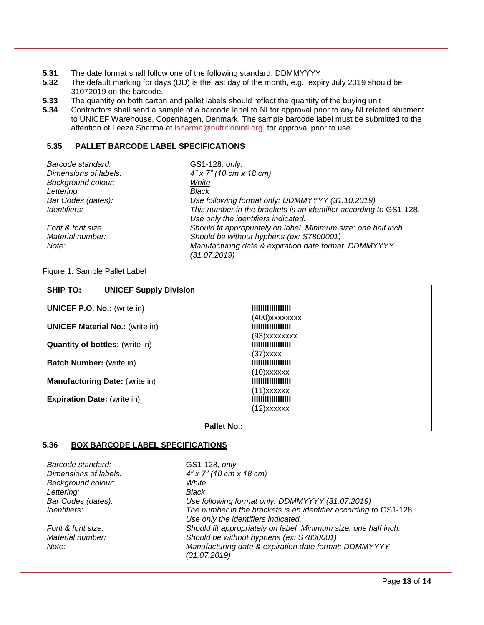- **5.31** The date format shall follow one of the following standard: DDMMYYYY<br>**5.32** The default marking for days (DD) is the last day of the month, e.g., expi
- **5.32** The default marking for days (DD) is the last day of the month, e.g., expiry July 2019 should be 31072019 on the barcode.
- **5.33** The quantity on both carton and pallet labels should reflect the quantity of the buying unit
- **5.34** Contractors shall send a sample of a barcode label to NI for approval prior to any NI related shipment to UNICEF Warehouse, Copenhagen, Denmark. The sample barcode label must be submitted to the attention of Leeza Sharma at **Isharma@nutritionintl.org**, for approval prior to use.

## **5.35 PALLET BARCODE LABEL SPECIFICATIONS**

| Barcode standard:     | GS1-128, only.                                                                                            |
|-----------------------|-----------------------------------------------------------------------------------------------------------|
| Dimensions of labels: | $4"$ x 7" (10 cm x 18 cm)                                                                                 |
| Background colour:    | White                                                                                                     |
| Lettering:            | Black                                                                                                     |
| Bar Codes (dates):    | Use following format only: DDMMYYYY (31.10.2019)                                                          |
| Identifiers:          | This number in the brackets is an identifier according to GS1-128.<br>Use only the identifiers indicated. |
| Font & font size:     | Should fit appropriately on label. Minimum size: one half inch.                                           |
| Material number:      | Should be without hyphens (ex: S7800001)                                                                  |
| Note:                 | Manufacturing date & expiration date format: DDMMYYYY<br>(31.07.2019)                                     |

Figure 1: Sample Pallet Label

| <b>SHIP TO:</b><br><b>UNICEF Supply Division</b> |                          |
|--------------------------------------------------|--------------------------|
| <b>UNICEF P.O. No.: (write in)</b>               | <b>IIIIIIIIIIIIIIIII</b> |
|                                                  | (400) xxxxxxxx           |
| <b>UNICEF Material No.: (write in)</b>           | <b>IIIIIIIIIIIIIIIII</b> |
|                                                  | $(93)$ xxxxxxx           |
| <b>Quantity of bottles:</b> (write in)           | <b>IIIIIIIIIIIIIIIII</b> |
|                                                  | $(37)$ xxxx              |
| <b>Batch Number:</b> (write in)                  | <b>IIIIIIIIIIIIIIIII</b> |
|                                                  | $(10)$ xxxxxx            |
| <b>Manufacturing Date: (write in)</b>            | <b>IIIIIIIIIIIIIIIII</b> |
|                                                  | $(11)$ xxxxxx            |
| <b>Expiration Date:</b> (write in)               | <b>IIIIIIIIIIIIIIIII</b> |
|                                                  | $(12)$ xxxxxx            |
|                                                  |                          |

#### **Pallet No.:**

## **5.36 BOX BARCODE LABEL SPECIFICATIONS**

| Barcode standard:                 | GS1-128, only.                                                                                           |
|-----------------------------------|----------------------------------------------------------------------------------------------------------|
| Dimensions of labels:             | 4" x 7" (10 cm x 18 cm)                                                                                  |
| Background colour:                | White                                                                                                    |
| Lettering:                        | Black                                                                                                    |
| Bar Codes (dates):                | Use following format only: DDMMYYYY (31.07.2019)                                                         |
| <i><u><b>Identifiers:</b></u></i> | The number in the brackets is an identifier according to GS1-128.<br>Use only the identifiers indicated. |
| Font & font size:                 | Should fit appropriately on label. Minimum size: one half inch.                                          |
| Material number:                  | Should be without hyphens (ex: S7800001)                                                                 |
| Note:                             | Manufacturing date & expiration date format: DDMMYYYY<br>(31.07.2019)                                    |